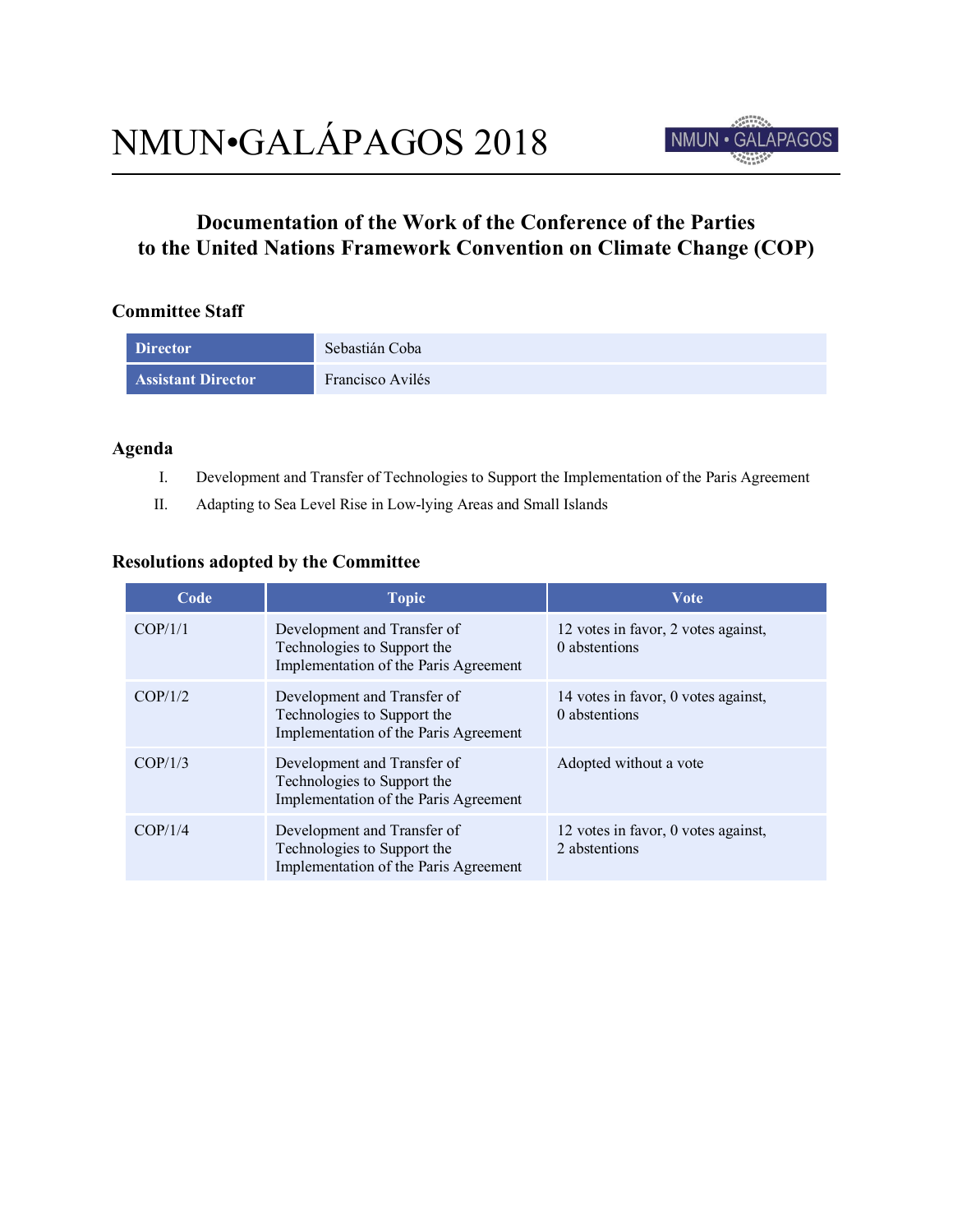

## **Documentation of the Work of the Conference of the Parties to the United Nations Framework Convention on Climate Change (COP)**

## **Committee Staff**

| <b>Director</b>           | Sebastián Coba   |
|---------------------------|------------------|
| <b>Assistant Director</b> | Francisco Avilés |

## **Agenda**

- I. Development and Transfer of Technologies to Support the Implementation of the Paris Agreement
- II. Adapting to Sea Level Rise in Low-lying Areas and Small Islands

## **Resolutions adopted by the Committee**

| Code    | <b>Topic</b>                                                                                        | <b>Vote</b>                                          |
|---------|-----------------------------------------------------------------------------------------------------|------------------------------------------------------|
| COP/1/1 | Development and Transfer of<br>Technologies to Support the<br>Implementation of the Paris Agreement | 12 votes in favor, 2 votes against,<br>0 abstentions |
| COP/1/2 | Development and Transfer of<br>Technologies to Support the<br>Implementation of the Paris Agreement | 14 votes in favor, 0 votes against,<br>0 abstentions |
| COP/1/3 | Development and Transfer of<br>Technologies to Support the<br>Implementation of the Paris Agreement | Adopted without a vote                               |
| COP/1/4 | Development and Transfer of<br>Technologies to Support the<br>Implementation of the Paris Agreement | 12 votes in favor, 0 votes against,<br>2 abstentions |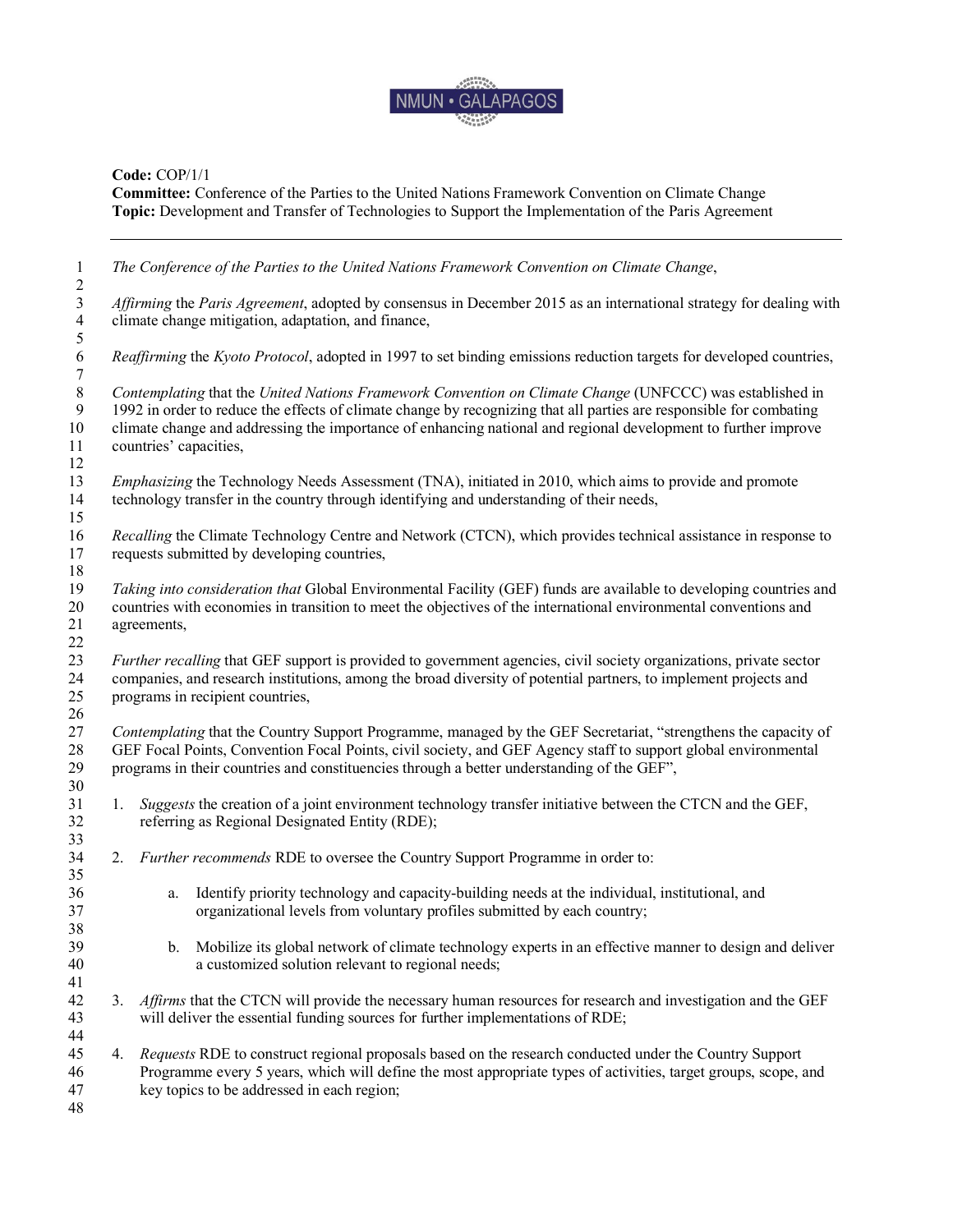

**Committee:** Conference of the Parties to the United Nations Framework Convention on Climate Change **Topic:** Development and Transfer of Technologies to Support the Implementation of the Paris Agreement

 *The Conference of the Parties to the United Nations Framework Convention on Climate Change*,  $\frac{2}{3}$  *Affirming* the *Paris Agreement*, adopted by consensus in December 2015 as an international strategy for dealing with climate change mitigation, adaptation, and finance,  $\frac{5}{6}$  *Reaffirming* the *Kyoto Protocol*, adopted in 1997 to set binding emissions reduction targets for developed countries, *Contemplating* that the *United Nations Framework Convention on Climate Change* (UNFCCC) was established in 1992 in order to reduce the effects of climate change by recognizing that all parties are responsible for comba 1992 in order to reduce the effects of climate change by recognizing that all parties are responsible for combating climate change and addressing the importance of enhancing national and regional development to further improve countries' capacities, *Emphasizing* the Technology Needs Assessment (TNA), initiated in 2010, which aims to provide and promote technology transfer in the country through identifying and understanding of their needs, *Recalling* the Climate Technology Centre and Network (CTCN), which provides technical assistance in response to requests submitted by developing countries, *Taking into consideration that* Global Environmental Facility (GEF) funds are available to developing countries and countries with economies in transition to meet the objectives of the international environmental conventions and agreements, *Further recalling* that GEF support is provided to government agencies, civil society organizations, private sector companies, and research institutions, among the broad diversity of potential partners, to implement projects and programs in recipient countries, *Contemplating* that the Country Support Programme, managed by the GEF Secretariat, "strengthens the capacity of GEF Focal Points, Convention Focal Points, civil society, and GEF Agency staff to support global environmental programs in their countries and constituencies through a better understanding of the GEF", 1. *Suggests* the creation of a joint environment technology transfer initiative between the CTCN and the GEF, referring as Regional Designated Entity (RDE); 2. *Further recommends* RDE to oversee the Country Support Programme in order to: 36 a. Identify priority technology and capacity-building needs at the individual, institutional, and organizational levels from voluntary profiles submitted by each country: organizational levels from voluntary profiles submitted by each country; b. Mobilize its global network of climate technology experts in an effective manner to design and deliver a customized solution relevant to regional needs; 3. *Affirms* that the CTCN will provide the necessary human resources for research and investigation and the GEF will deliver the essential funding sources for further implementations of RDE; 4. *Requests* RDE to construct regional proposals based on the research conducted under the Country Support Programme every 5 years, which will define the most appropriate types of activities, target groups, scope, and key topics to be addressed in each region;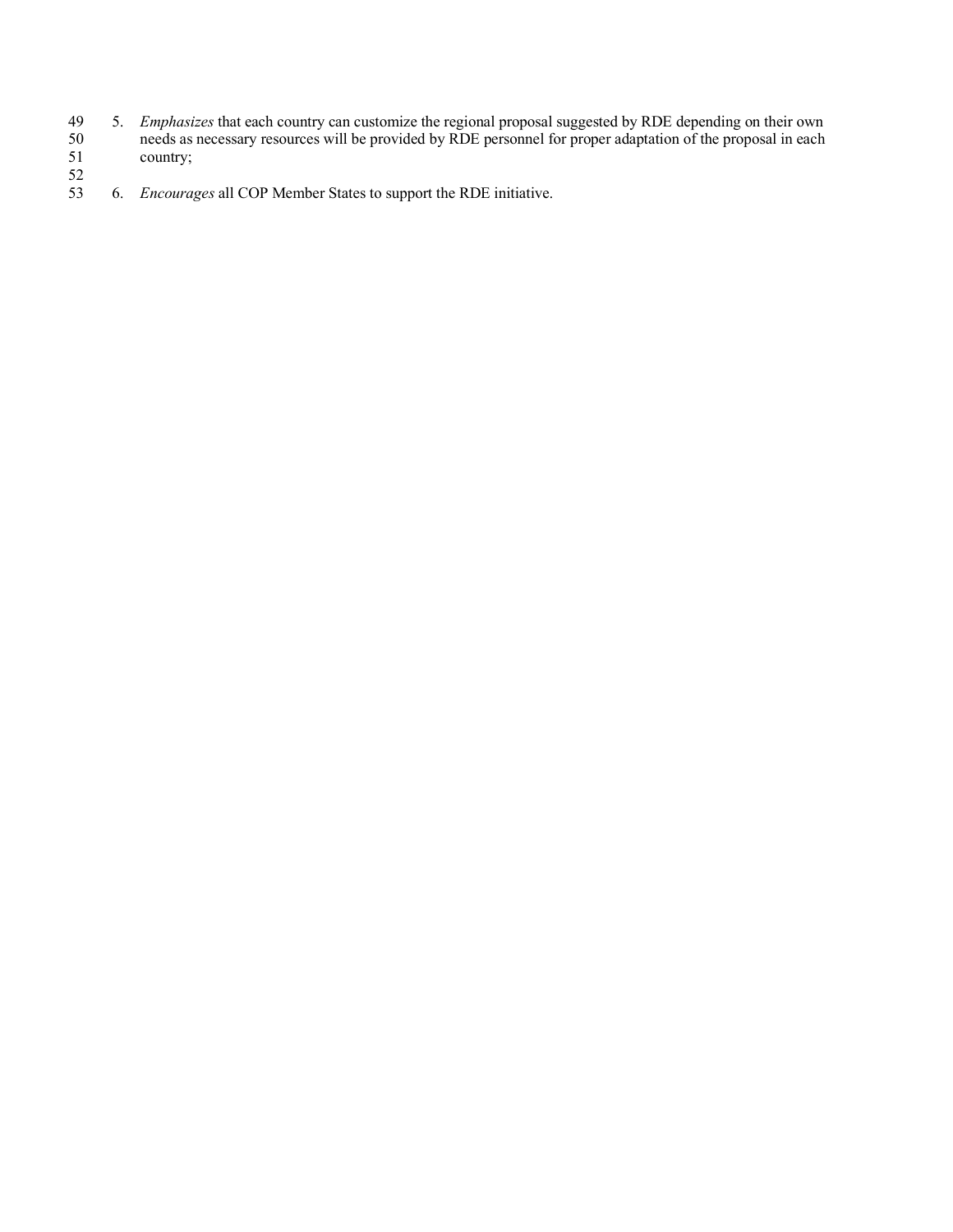- 49 5. *Emphasizes* that each country can customize the regional proposal suggested by RDE depending on their own 50 needs as necessary resources will be provided by RDE personnel for proper adaptation of the proposal in each 50 needs as<br>51 country;
- $\frac{52}{53}$ 53 6. *Encourages* all COP Member States to support the RDE initiative.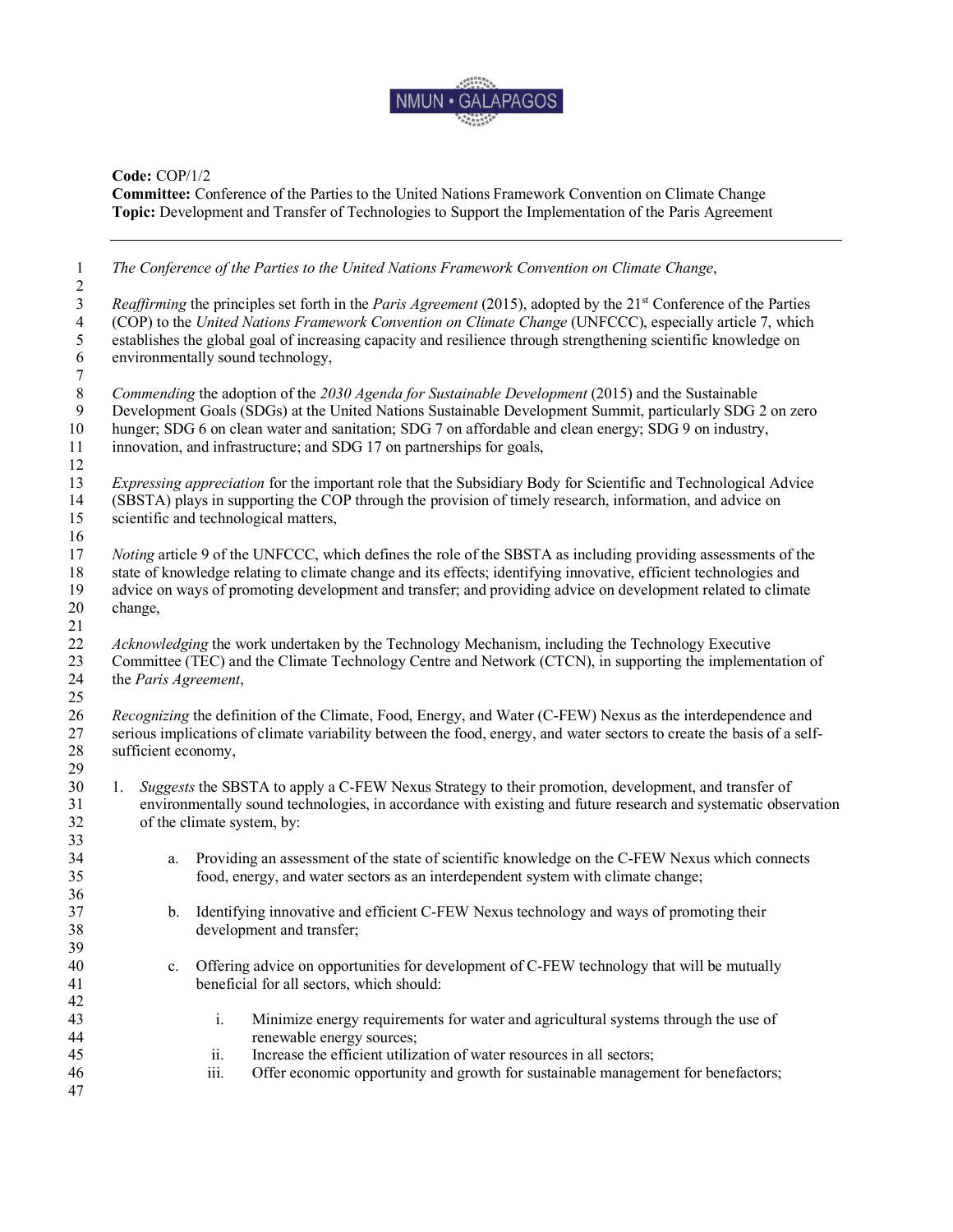

**Committee:** Conference of the Parties to the United Nations Framework Convention on Climate Change **Topic:** Development and Transfer of Technologies to Support the Implementation of the Paris Agreement

| $\mathfrak{Z}$<br><i>Reaffirming</i> the principles set forth in the <i>Paris Agreement</i> (2015), adopted by the 21 <sup>st</sup> Conference of the Parties<br>(COP) to the United Nations Framework Convention on Climate Change (UNFCCC), especially article 7, which<br>$\overline{4}$<br>$\mathfrak s$<br>establishes the global goal of increasing capacity and resilience through strengthening scientific knowledge on<br>6<br>environmentally sound technology,<br>$\tau$<br>$8\,$<br>Commending the adoption of the 2030 Agenda for Sustainable Development (2015) and the Sustainable<br>Development Goals (SDGs) at the United Nations Sustainable Development Summit, particularly SDG 2 on zero<br>9<br>hunger; SDG 6 on clean water and sanitation; SDG 7 on affordable and clean energy; SDG 9 on industry,<br>innovation, and infrastructure; and SDG 17 on partnerships for goals,<br><i>Expressing appreciation</i> for the important role that the Subsidiary Body for Scientific and Technological Advice<br>(SBSTA) plays in supporting the COP through the provision of timely research, information, and advice on<br>scientific and technological matters,<br><i>Noting</i> article 9 of the UNFCCC, which defines the role of the SBSTA as including providing assessments of the<br>state of knowledge relating to climate change and its effects; identifying innovative, efficient technologies and<br>advice on ways of promoting development and transfer; and providing advice on development related to climate<br>change,<br>Acknowledging the work undertaken by the Technology Mechanism, including the Technology Executive<br>Committee (TEC) and the Climate Technology Centre and Network (CTCN), in supporting the implementation of<br>the Paris Agreement,<br><i>Recognizing</i> the definition of the Climate, Food, Energy, and Water (C-FEW) Nexus as the interdependence and<br>serious implications of climate variability between the food, energy, and water sectors to create the basis of a self-<br>sufficient economy,<br>Suggests the SBSTA to apply a C-FEW Nexus Strategy to their promotion, development, and transfer of<br>1.<br>environmentally sound technologies, in accordance with existing and future research and systematic observation<br>of the climate system, by:<br>Providing an assessment of the state of scientific knowledge on the C-FEW Nexus which connects<br>a.<br>food, energy, and water sectors as an interdependent system with climate change;<br>Identifying innovative and efficient C-FEW Nexus technology and ways of promoting their<br>b.<br>development and transfer;<br>Offering advice on opportunities for development of C-FEW technology that will be mutually<br>$c_{\cdot}$<br>beneficial for all sectors, which should:<br>$\dot{1}$<br>Minimize energy requirements for water and agricultural systems through the use of<br>renewable energy sources;<br>Increase the efficient utilization of water resources in all sectors;<br>ii.<br>iii.<br>Offer economic opportunity and growth for sustainable management for benefactors; | $\mathbf{1}$<br>$\overline{2}$ | The Conference of the Parties to the United Nations Framework Convention on Climate Change, |  |
|---------------------------------------------------------------------------------------------------------------------------------------------------------------------------------------------------------------------------------------------------------------------------------------------------------------------------------------------------------------------------------------------------------------------------------------------------------------------------------------------------------------------------------------------------------------------------------------------------------------------------------------------------------------------------------------------------------------------------------------------------------------------------------------------------------------------------------------------------------------------------------------------------------------------------------------------------------------------------------------------------------------------------------------------------------------------------------------------------------------------------------------------------------------------------------------------------------------------------------------------------------------------------------------------------------------------------------------------------------------------------------------------------------------------------------------------------------------------------------------------------------------------------------------------------------------------------------------------------------------------------------------------------------------------------------------------------------------------------------------------------------------------------------------------------------------------------------------------------------------------------------------------------------------------------------------------------------------------------------------------------------------------------------------------------------------------------------------------------------------------------------------------------------------------------------------------------------------------------------------------------------------------------------------------------------------------------------------------------------------------------------------------------------------------------------------------------------------------------------------------------------------------------------------------------------------------------------------------------------------------------------------------------------------------------------------------------------------------------------------------------------------------------------------------------------------------------------------------------------------------------------------------------------------------------------------------------------------------------------------------------------------------------------------------------------------------------------------------------------------------------------------------|--------------------------------|---------------------------------------------------------------------------------------------|--|
| 10<br>11<br>12<br>13<br>14<br>15<br>16<br>17<br>18<br>19<br>20<br>21<br>22<br>23<br>24<br>25<br>26<br>27<br>28<br>29<br>30<br>31<br>32<br>33<br>34<br>35<br>36<br>37<br>38<br>39<br>40<br>41<br>42<br>43<br>44<br>45<br>46<br>47                                                                                                                                                                                                                                                                                                                                                                                                                                                                                                                                                                                                                                                                                                                                                                                                                                                                                                                                                                                                                                                                                                                                                                                                                                                                                                                                                                                                                                                                                                                                                                                                                                                                                                                                                                                                                                                                                                                                                                                                                                                                                                                                                                                                                                                                                                                                                                                                                                                                                                                                                                                                                                                                                                                                                                                                                                                                                                            |                                |                                                                                             |  |
|                                                                                                                                                                                                                                                                                                                                                                                                                                                                                                                                                                                                                                                                                                                                                                                                                                                                                                                                                                                                                                                                                                                                                                                                                                                                                                                                                                                                                                                                                                                                                                                                                                                                                                                                                                                                                                                                                                                                                                                                                                                                                                                                                                                                                                                                                                                                                                                                                                                                                                                                                                                                                                                                                                                                                                                                                                                                                                                                                                                                                                                                                                                                             |                                |                                                                                             |  |
|                                                                                                                                                                                                                                                                                                                                                                                                                                                                                                                                                                                                                                                                                                                                                                                                                                                                                                                                                                                                                                                                                                                                                                                                                                                                                                                                                                                                                                                                                                                                                                                                                                                                                                                                                                                                                                                                                                                                                                                                                                                                                                                                                                                                                                                                                                                                                                                                                                                                                                                                                                                                                                                                                                                                                                                                                                                                                                                                                                                                                                                                                                                                             |                                |                                                                                             |  |
|                                                                                                                                                                                                                                                                                                                                                                                                                                                                                                                                                                                                                                                                                                                                                                                                                                                                                                                                                                                                                                                                                                                                                                                                                                                                                                                                                                                                                                                                                                                                                                                                                                                                                                                                                                                                                                                                                                                                                                                                                                                                                                                                                                                                                                                                                                                                                                                                                                                                                                                                                                                                                                                                                                                                                                                                                                                                                                                                                                                                                                                                                                                                             |                                |                                                                                             |  |
|                                                                                                                                                                                                                                                                                                                                                                                                                                                                                                                                                                                                                                                                                                                                                                                                                                                                                                                                                                                                                                                                                                                                                                                                                                                                                                                                                                                                                                                                                                                                                                                                                                                                                                                                                                                                                                                                                                                                                                                                                                                                                                                                                                                                                                                                                                                                                                                                                                                                                                                                                                                                                                                                                                                                                                                                                                                                                                                                                                                                                                                                                                                                             |                                |                                                                                             |  |
|                                                                                                                                                                                                                                                                                                                                                                                                                                                                                                                                                                                                                                                                                                                                                                                                                                                                                                                                                                                                                                                                                                                                                                                                                                                                                                                                                                                                                                                                                                                                                                                                                                                                                                                                                                                                                                                                                                                                                                                                                                                                                                                                                                                                                                                                                                                                                                                                                                                                                                                                                                                                                                                                                                                                                                                                                                                                                                                                                                                                                                                                                                                                             |                                |                                                                                             |  |
|                                                                                                                                                                                                                                                                                                                                                                                                                                                                                                                                                                                                                                                                                                                                                                                                                                                                                                                                                                                                                                                                                                                                                                                                                                                                                                                                                                                                                                                                                                                                                                                                                                                                                                                                                                                                                                                                                                                                                                                                                                                                                                                                                                                                                                                                                                                                                                                                                                                                                                                                                                                                                                                                                                                                                                                                                                                                                                                                                                                                                                                                                                                                             |                                |                                                                                             |  |
|                                                                                                                                                                                                                                                                                                                                                                                                                                                                                                                                                                                                                                                                                                                                                                                                                                                                                                                                                                                                                                                                                                                                                                                                                                                                                                                                                                                                                                                                                                                                                                                                                                                                                                                                                                                                                                                                                                                                                                                                                                                                                                                                                                                                                                                                                                                                                                                                                                                                                                                                                                                                                                                                                                                                                                                                                                                                                                                                                                                                                                                                                                                                             |                                |                                                                                             |  |
|                                                                                                                                                                                                                                                                                                                                                                                                                                                                                                                                                                                                                                                                                                                                                                                                                                                                                                                                                                                                                                                                                                                                                                                                                                                                                                                                                                                                                                                                                                                                                                                                                                                                                                                                                                                                                                                                                                                                                                                                                                                                                                                                                                                                                                                                                                                                                                                                                                                                                                                                                                                                                                                                                                                                                                                                                                                                                                                                                                                                                                                                                                                                             |                                |                                                                                             |  |
|                                                                                                                                                                                                                                                                                                                                                                                                                                                                                                                                                                                                                                                                                                                                                                                                                                                                                                                                                                                                                                                                                                                                                                                                                                                                                                                                                                                                                                                                                                                                                                                                                                                                                                                                                                                                                                                                                                                                                                                                                                                                                                                                                                                                                                                                                                                                                                                                                                                                                                                                                                                                                                                                                                                                                                                                                                                                                                                                                                                                                                                                                                                                             |                                |                                                                                             |  |
|                                                                                                                                                                                                                                                                                                                                                                                                                                                                                                                                                                                                                                                                                                                                                                                                                                                                                                                                                                                                                                                                                                                                                                                                                                                                                                                                                                                                                                                                                                                                                                                                                                                                                                                                                                                                                                                                                                                                                                                                                                                                                                                                                                                                                                                                                                                                                                                                                                                                                                                                                                                                                                                                                                                                                                                                                                                                                                                                                                                                                                                                                                                                             |                                |                                                                                             |  |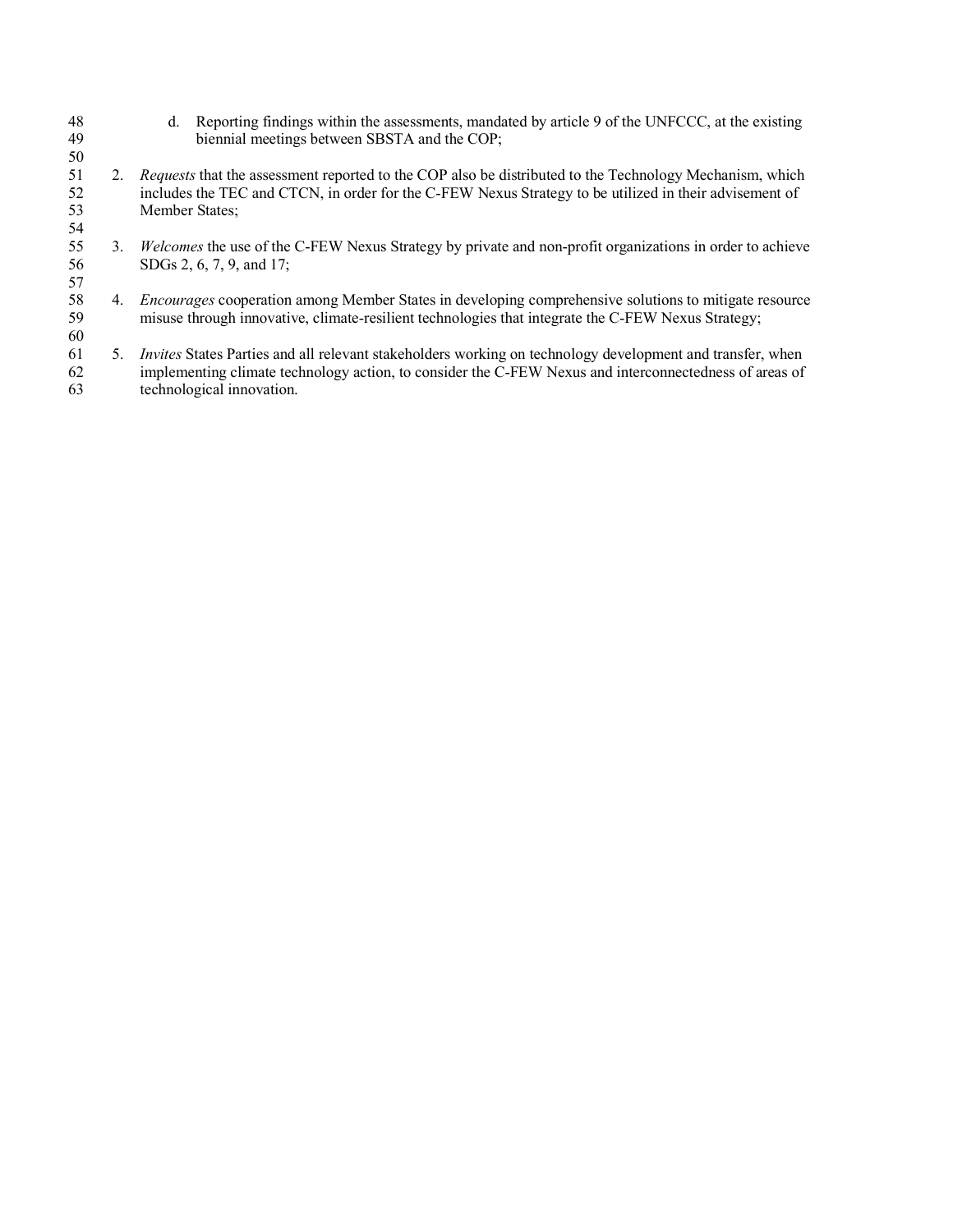48 d. Reporting findings within the assessments, mandated by article 9 of the UNFCCC, at the existing biennial meetings between SBSTA and the COP: biennial meetings between SBSTA and the COP;

- 2. *Requests* that the assessment reported to the COP also be distributed to the Technology Mechanism, which includes the TEC and CTCN, in order for the C-FEW Nexus Strategy to be utilized in their advisement of Member States;
- 3. *Welcomes* the use of the C-FEW Nexus Strategy by private and non-profit organizations in order to achieve SDGs 2, 6, 7, 9, and 17;
- 4. *Encourages* cooperation among Member States in developing comprehensive solutions to mitigate resource misuse through innovative, climate-resilient technologies that integrate the C-FEW Nexus Strategy;
- 5. *Invites* States Parties and all relevant stakeholders working on technology development and transfer, when implementing climate technology action, to consider the C-FEW Nexus and interconnectedness of areas of technological innovation.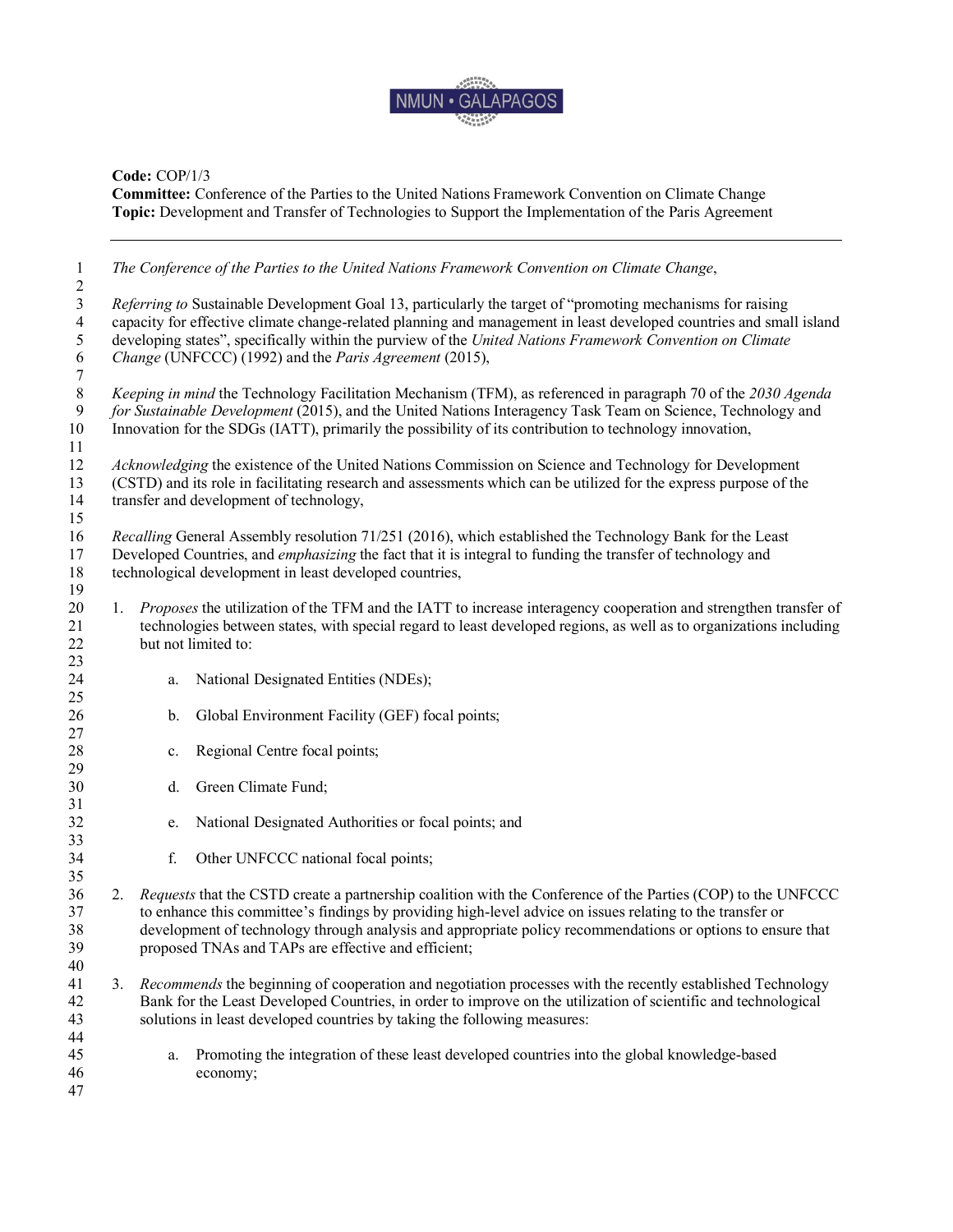

**Committee:** Conference of the Parties to the United Nations Framework Convention on Climate Change **Topic:** Development and Transfer of Technologies to Support the Implementation of the Paris Agreement

| $\mathbf{1}$        |                                                                                                                  |    | The Conference of the Parties to the United Nations Framework Convention on Climate Change,                         |
|---------------------|------------------------------------------------------------------------------------------------------------------|----|---------------------------------------------------------------------------------------------------------------------|
| $\overline{c}$<br>3 |                                                                                                                  |    | Referring to Sustainable Development Goal 13, particularly the target of "promoting mechanisms for raising          |
| 4                   |                                                                                                                  |    | capacity for effective climate change-related planning and management in least developed countries and small island |
| 5                   |                                                                                                                  |    | developing states", specifically within the purview of the United Nations Framework Convention on Climate           |
| 6                   |                                                                                                                  |    | Change (UNFCCC) (1992) and the Paris Agreement (2015),                                                              |
| $\boldsymbol{7}$    |                                                                                                                  |    |                                                                                                                     |
| $\,8\,$             |                                                                                                                  |    | Keeping in mind the Technology Facilitation Mechanism (TFM), as referenced in paragraph 70 of the 2030 Agenda       |
| 9                   |                                                                                                                  |    | for Sustainable Development (2015), and the United Nations Interagency Task Team on Science, Technology and         |
| 10                  |                                                                                                                  |    | Innovation for the SDGs (IATT), primarily the possibility of its contribution to technology innovation,             |
| 11                  |                                                                                                                  |    |                                                                                                                     |
| 12                  |                                                                                                                  |    | Acknowledging the existence of the United Nations Commission on Science and Technology for Development              |
| 13                  |                                                                                                                  |    | (CSTD) and its role in facilitating research and assessments which can be utilized for the express purpose of the   |
| 14                  |                                                                                                                  |    | transfer and development of technology,                                                                             |
| 15                  |                                                                                                                  |    |                                                                                                                     |
| 16                  |                                                                                                                  |    | Recalling General Assembly resolution 71/251 (2016), which established the Technology Bank for the Least            |
| 17                  |                                                                                                                  |    | Developed Countries, and emphasizing the fact that it is integral to funding the transfer of technology and         |
| 18                  |                                                                                                                  |    | technological development in least developed countries,                                                             |
| 19                  |                                                                                                                  |    |                                                                                                                     |
| 20                  | 1.                                                                                                               |    | Proposes the utilization of the TFM and the IATT to increase interagency cooperation and strengthen transfer of     |
| 21                  |                                                                                                                  |    | technologies between states, with special regard to least developed regions, as well as to organizations including  |
| 22                  |                                                                                                                  |    | but not limited to:                                                                                                 |
| 23                  |                                                                                                                  |    |                                                                                                                     |
| 24                  |                                                                                                                  | a. | National Designated Entities (NDEs);                                                                                |
| 25                  |                                                                                                                  |    |                                                                                                                     |
| 26                  |                                                                                                                  | b. | Global Environment Facility (GEF) focal points;                                                                     |
| 27                  |                                                                                                                  |    |                                                                                                                     |
| 28                  |                                                                                                                  | c. | Regional Centre focal points;                                                                                       |
| 29                  |                                                                                                                  |    |                                                                                                                     |
| 30                  |                                                                                                                  | d. | Green Climate Fund;                                                                                                 |
| 31                  |                                                                                                                  |    |                                                                                                                     |
| 32                  |                                                                                                                  | e. | National Designated Authorities or focal points; and                                                                |
| 33                  |                                                                                                                  |    |                                                                                                                     |
| 34                  |                                                                                                                  | f. | Other UNFCCC national focal points;                                                                                 |
| 35                  |                                                                                                                  |    |                                                                                                                     |
| 36                  | 2.                                                                                                               |    | Requests that the CSTD create a partnership coalition with the Conference of the Parties (COP) to the UNFCCC        |
| 37                  |                                                                                                                  |    | to enhance this committee's findings by providing high-level advice on issues relating to the transfer or           |
| 38                  |                                                                                                                  |    | development of technology through analysis and appropriate policy recommendations or options to ensure that         |
| 39                  |                                                                                                                  |    | proposed TNAs and TAPs are effective and efficient;                                                                 |
| 40                  |                                                                                                                  |    |                                                                                                                     |
| 41                  | Recommends the beginning of cooperation and negotiation processes with the recently established Technology<br>3. |    |                                                                                                                     |
| 42                  |                                                                                                                  |    | Bank for the Least Developed Countries, in order to improve on the utilization of scientific and technological      |
| 43                  |                                                                                                                  |    | solutions in least developed countries by taking the following measures:                                            |
| 44                  |                                                                                                                  |    |                                                                                                                     |
| 45                  |                                                                                                                  | a. | Promoting the integration of these least developed countries into the global knowledge-based                        |
| 46                  |                                                                                                                  |    | economy;                                                                                                            |
| 47                  |                                                                                                                  |    |                                                                                                                     |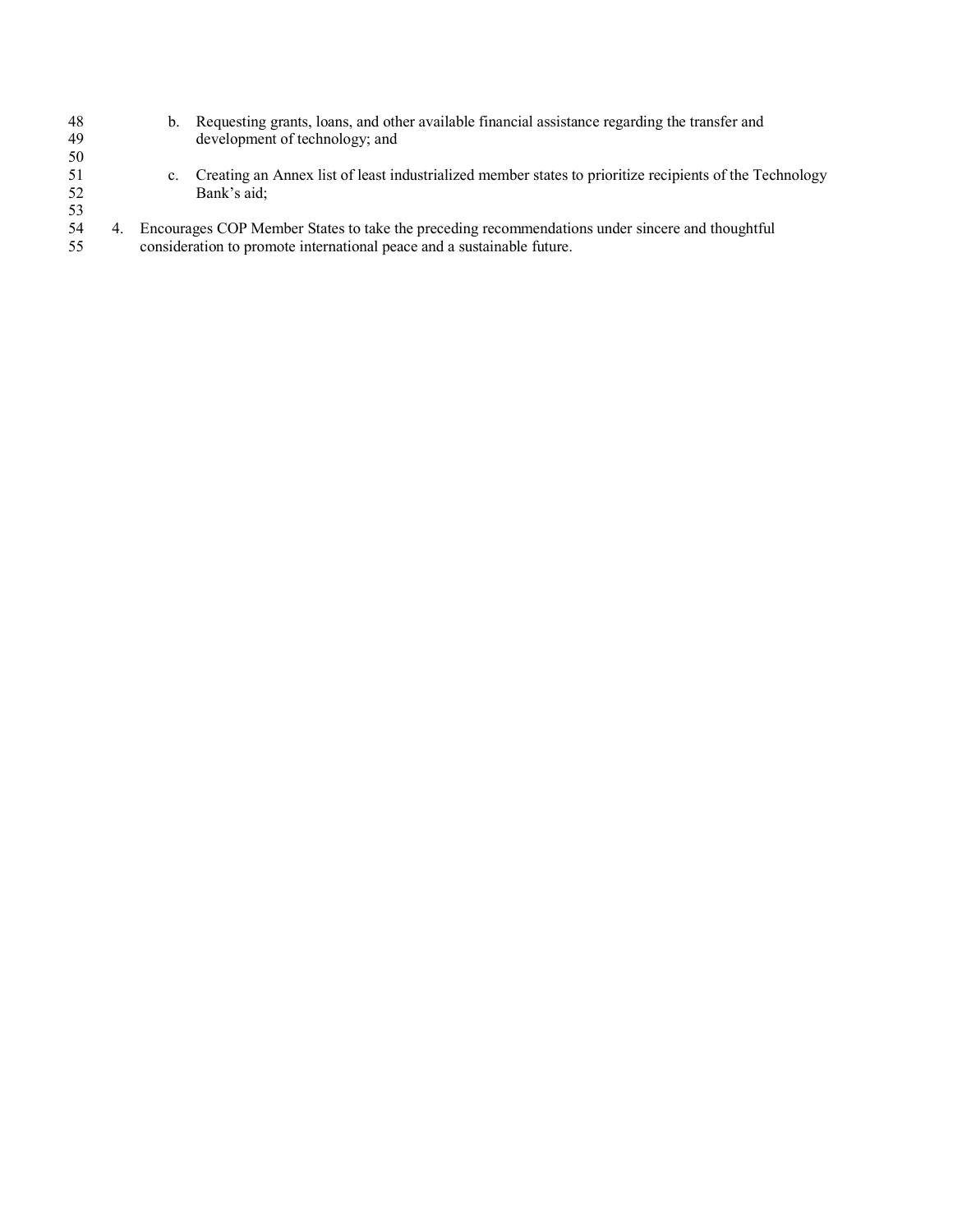| 48  | b.          | Requesting grants, loans, and other available financial assistance regarding the transfer and           |
|-----|-------------|---------------------------------------------------------------------------------------------------------|
| 49  |             | development of technology; and                                                                          |
| 50  |             |                                                                                                         |
| -51 | $c_{\cdot}$ | Creating an Annex list of least industrialized member states to prioritize recipients of the Technology |
| 52  |             | Bank's aid;                                                                                             |
| 53  |             |                                                                                                         |
| 54  |             | Encourages COP Member States to take the preceding recommendations under sincere and thoughtful         |
| 55  |             | consideration to promote international peace and a sustainable future.                                  |
|     |             |                                                                                                         |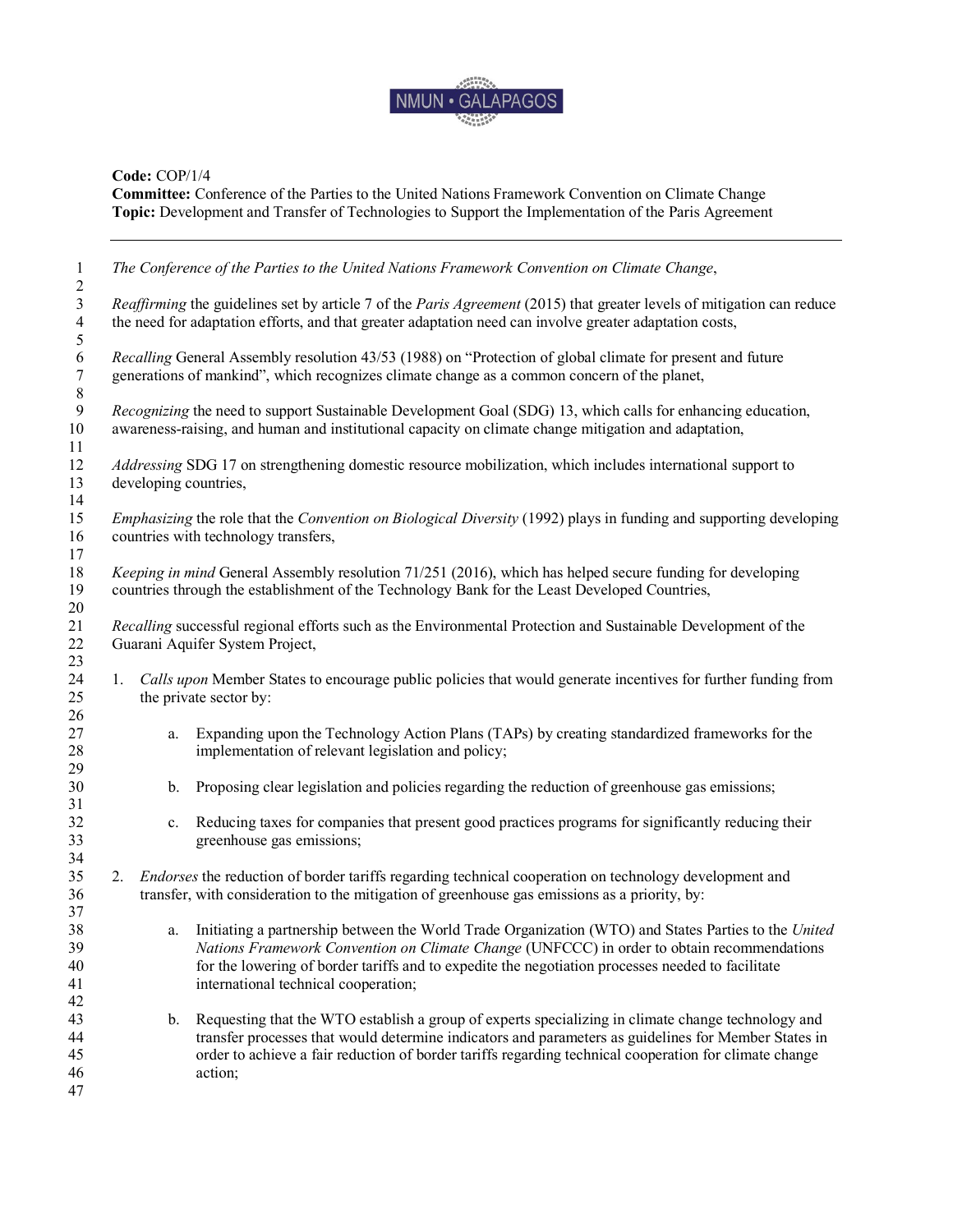

**Committee:** Conference of the Parties to the United Nations Framework Convention on Climate Change **Topic:** Development and Transfer of Technologies to Support the Implementation of the Paris Agreement

| $\mathbf{1}$<br>$\overline{c}$  |                                                                                                                                                  | The Conference of the Parties to the United Nations Framework Convention on Climate Change,                                                                                                                                                                                                                                                     |  |  |
|---------------------------------|--------------------------------------------------------------------------------------------------------------------------------------------------|-------------------------------------------------------------------------------------------------------------------------------------------------------------------------------------------------------------------------------------------------------------------------------------------------------------------------------------------------|--|--|
| $\mathfrak{Z}$                  | Reaffirming the guidelines set by article 7 of the Paris Agreement (2015) that greater levels of mitigation can reduce                           |                                                                                                                                                                                                                                                                                                                                                 |  |  |
| $\overline{4}$<br>$\mathfrak s$ | the need for adaptation efforts, and that greater adaptation need can involve greater adaptation costs,                                          |                                                                                                                                                                                                                                                                                                                                                 |  |  |
| $\sqrt{6}$<br>$\boldsymbol{7}$  | Recalling General Assembly resolution 43/53 (1988) on "Protection of global climate for present and future                                       |                                                                                                                                                                                                                                                                                                                                                 |  |  |
| $\,8\,$                         |                                                                                                                                                  | generations of mankind", which recognizes climate change as a common concern of the planet,                                                                                                                                                                                                                                                     |  |  |
| $\overline{9}$<br>$10\,$<br>11  |                                                                                                                                                  | Recognizing the need to support Sustainable Development Goal (SDG) 13, which calls for enhancing education,<br>awareness-raising, and human and institutional capacity on climate change mitigation and adaptation,                                                                                                                             |  |  |
| 12<br>13                        | <i>Addressing</i> SDG 17 on strengthening domestic resource mobilization, which includes international support to<br>developing countries,       |                                                                                                                                                                                                                                                                                                                                                 |  |  |
| 14<br>15<br>16                  |                                                                                                                                                  | <i>Emphasizing</i> the role that the <i>Convention on Biological Diversity</i> (1992) plays in funding and supporting developing<br>countries with technology transfers,                                                                                                                                                                        |  |  |
| 17<br>$18\,$<br>19              |                                                                                                                                                  | Keeping in mind General Assembly resolution 71/251 (2016), which has helped secure funding for developing<br>countries through the establishment of the Technology Bank for the Least Developed Countries,                                                                                                                                      |  |  |
| 20<br>21<br>22<br>23            | Recalling successful regional efforts such as the Environmental Protection and Sustainable Development of the<br>Guarani Aquifer System Project, |                                                                                                                                                                                                                                                                                                                                                 |  |  |
| 24<br>25<br>26                  | 1.                                                                                                                                               | Calls upon Member States to encourage public policies that would generate incentives for further funding from<br>the private sector by:                                                                                                                                                                                                         |  |  |
| 27<br>28                        | a.                                                                                                                                               | Expanding upon the Technology Action Plans (TAPs) by creating standardized frameworks for the<br>implementation of relevant legislation and policy;                                                                                                                                                                                             |  |  |
| 29<br>30<br>31                  | b.                                                                                                                                               | Proposing clear legislation and policies regarding the reduction of greenhouse gas emissions;                                                                                                                                                                                                                                                   |  |  |
| 32<br>33<br>34                  | $c_{\cdot}$                                                                                                                                      | Reducing taxes for companies that present good practices programs for significantly reducing their<br>greenhouse gas emissions;                                                                                                                                                                                                                 |  |  |
| 35<br>36<br>37                  | 2.                                                                                                                                               | <i>Endorses</i> the reduction of border tariffs regarding technical cooperation on technology development and<br>transfer, with consideration to the mitigation of greenhouse gas emissions as a priority, by:                                                                                                                                  |  |  |
| 38<br>39<br>40<br>41<br>42      | a.                                                                                                                                               | Initiating a partnership between the World Trade Organization (WTO) and States Parties to the United<br>Nations Framework Convention on Climate Change (UNFCCC) in order to obtain recommendations<br>for the lowering of border tariffs and to expedite the negotiation processes needed to facilitate<br>international technical cooperation; |  |  |
| 43<br>44<br>45<br>46<br>47      | b.                                                                                                                                               | Requesting that the WTO establish a group of experts specializing in climate change technology and<br>transfer processes that would determine indicators and parameters as guidelines for Member States in<br>order to achieve a fair reduction of border tariffs regarding technical cooperation for climate change<br>action;                 |  |  |